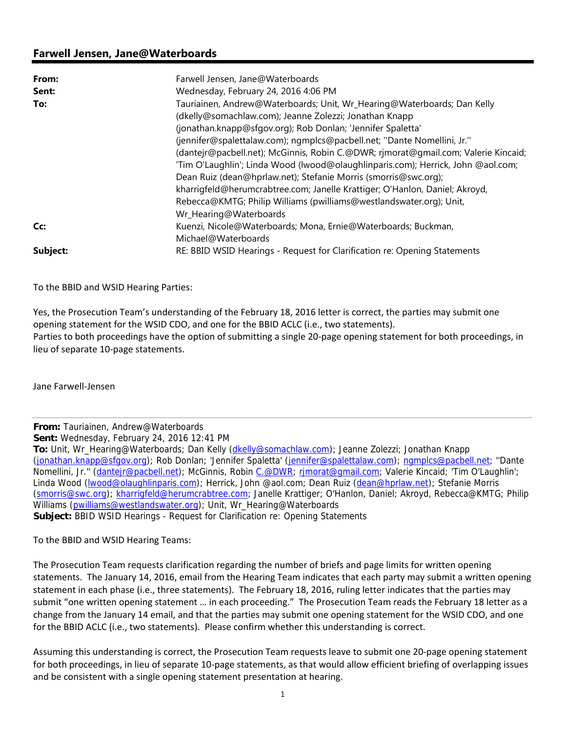## **Farwell Jensen, Jane@Waterboards**

| From:    | Farwell Jensen, Jane@Waterboards                                                   |
|----------|------------------------------------------------------------------------------------|
| Sent:    | Wednesday, February 24, 2016 4:06 PM                                               |
| To:      | Tauriainen, Andrew@Waterboards; Unit, Wr_Hearing@Waterboards; Dan Kelly            |
|          | (dkelly@somachlaw.com); Jeanne Zolezzi; Jonathan Knapp                             |
|          | (jonathan.knapp@sfgov.org); Rob Donlan; 'Jennifer Spaletta'                        |
|          | (jennifer@spalettalaw.com); ngmplcs@pacbell.net; "Dante Nomellini, Jr."            |
|          | (dantejr@pacbell.net); McGinnis, Robin C.@DWR; rimorat@qmail.com; Valerie Kincaid; |
|          | 'Tim O'Laughlin'; Linda Wood (Iwood@olaughlinparis.com); Herrick, John @aol.com;   |
|          | Dean Ruiz (dean@hprlaw.net); Stefanie Morris (smorris@swc.org);                    |
|          | kharrigfeld@herumcrabtree.com; Janelle Krattiger; O'Hanlon, Daniel; Akroyd,        |
|          | Rebecca@KMTG; Philip Williams (pwilliams@westlandswater.org); Unit,                |
|          | Wr_Hearing@Waterboards                                                             |
| Cc:      | Kuenzi, Nicole@Waterboards; Mona, Ernie@Waterboards; Buckman,                      |
|          | Michael@Waterboards                                                                |
| Subject: | RE: BBID WSID Hearings - Request for Clarification re: Opening Statements          |

To the BBID and WSID Hearing Parties:

Yes, the Prosecution Team's understanding of the February 18, 2016 letter is correct, the parties may submit one opening statement for the WSID CDO, and one for the BBID ACLC (i.e., two statements). Parties to both proceedings have the option of submitting a single 20‐page opening statement for both proceedings, in lieu of separate 10‐page statements.

Jane Farwell‐Jensen

**From:** Tauriainen, Andrew@Waterboards

**Sent:** Wednesday, February 24, 2016 12:41 PM

**To:** Unit, Wr\_Hearing@Waterboards; Dan Kelly (dkelly@somachlaw.com); Jeanne Zolezzi; Jonathan Knapp (jonathan.knapp@sfgov.org); Rob Donlan; 'Jennifer Spaletta' (jennifer@spalettalaw.com); ngmplcs@pacbell.net; ''Dante Nomellini, Jr.'' (dantejr@pacbell.net); McGinnis, Robin C.@DWR; rjmorat@gmail.com; Valerie Kincaid; 'Tim O'Laughlin'; Linda Wood (lwood@olaughlinparis.com); Herrick, John @aol.com; Dean Ruiz (dean@hprlaw.net); Stefanie Morris (smorris@swc.org); kharrigfeld@herumcrabtree.com; Janelle Krattiger; O'Hanlon, Daniel; Akroyd, Rebecca@KMTG; Philip Williams (pwilliams@westlandswater.org); Unit, Wr\_Hearing@Waterboards **Subject:** BBID WSID Hearings - Request for Clarification re: Opening Statements

To the BBID and WSID Hearing Teams:

The Prosecution Team requests clarification regarding the number of briefs and page limits for written opening statements. The January 14, 2016, email from the Hearing Team indicates that each party may submit a written opening statement in each phase (i.e., three statements). The February 18, 2016, ruling letter indicates that the parties may submit "one written opening statement … in each proceeding." The Prosecution Team reads the February 18 letter as a change from the January 14 email, and that the parties may submit one opening statement for the WSID CDO, and one for the BBID ACLC (i.e., two statements). Please confirm whether this understanding is correct.

Assuming this understanding is correct, the Prosecution Team requests leave to submit one 20‐page opening statement for both proceedings, in lieu of separate 10‐page statements, as that would allow efficient briefing of overlapping issues and be consistent with a single opening statement presentation at hearing.